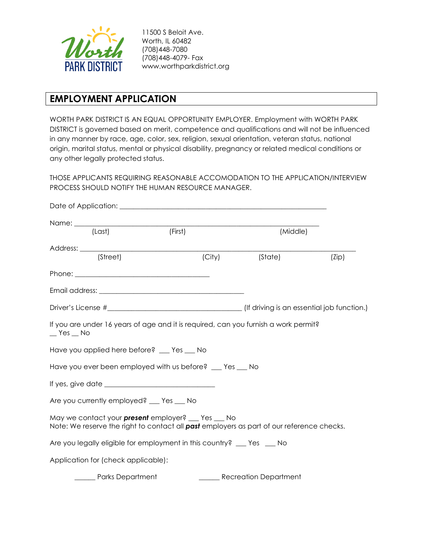

11500 S Beloit Ave. Worth, IL 60482 (708)448-7080 (708)448-4079- Fax www.worthparkdistrict.org

# **EMPLOYMENT APPLICATION**

WORTH PARK DISTRICT IS AN EQUAL OPPORTUNITY EMPLOYER. Employment with WORTH PARK DISTRICT is governed based on merit, competence and qualifications and will not be influenced in any manner by race, age, color, sex, religion, sexual orientation, veteran status, national origin, marital status, mental or physical disability, pregnancy or related medical conditions or any other legally protected status.

THOSE APPLICANTS REQUIRING REASONABLE ACCOMODATION TO THE APPLICATION/INTERVIEW PROCESS SHOULD NOTIFY THE HUMAN RESOURCE MANAGER.

| (Last)                                                                                                                                                 | $(T = \text{First})$ |        | (Middle)              |       |
|--------------------------------------------------------------------------------------------------------------------------------------------------------|----------------------|--------|-----------------------|-------|
|                                                                                                                                                        |                      |        |                       |       |
| (Street)                                                                                                                                               |                      | (City) | (State)               | (Zip) |
|                                                                                                                                                        |                      |        |                       |       |
|                                                                                                                                                        |                      |        |                       |       |
|                                                                                                                                                        |                      |        |                       |       |
| If you are under 16 years of age and it is required, can you furnish a work permit?<br>$\_$ Yes $\_$ No                                                |                      |        |                       |       |
| Have you applied here before? __ Yes __ No                                                                                                             |                      |        |                       |       |
| Have you ever been employed with us before? __ Yes __ No                                                                                               |                      |        |                       |       |
|                                                                                                                                                        |                      |        |                       |       |
| Are you currently employed? __ Yes __ No                                                                                                               |                      |        |                       |       |
| May we contact your <b>present</b> employer? __ Yes __ No<br>Note: We reserve the right to contact all past employers as part of our reference checks. |                      |        |                       |       |
| Are you legally eligible for employment in this country? __ Yes __ No                                                                                  |                      |        |                       |       |
| Application for (check applicable):                                                                                                                    |                      |        |                       |       |
| ______ Parks Department                                                                                                                                |                      |        | Recreation Department |       |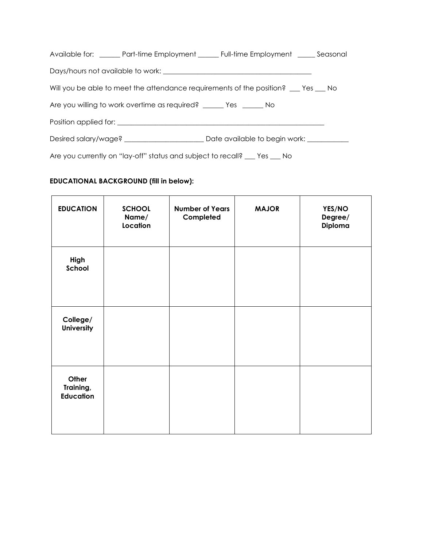| Available for: _______ Part-time Employment ______ Full-time Employment ______ Seasonal |  |  |  |  |
|-----------------------------------------------------------------------------------------|--|--|--|--|
|                                                                                         |  |  |  |  |
| Will you be able to meet the attendance requirements of the position? __ Yes __ No      |  |  |  |  |
| Are you willing to work overtime as required? ______ Yes ______ No                      |  |  |  |  |
| Position applied for:                                                                   |  |  |  |  |
|                                                                                         |  |  |  |  |
| Are you currently on "lay-off" status and subject to recall? __ Yes __ No               |  |  |  |  |

## **EDUCATIONAL BACKGROUND (fill in below):**

| <b>EDUCATION</b>                       | <b>SCHOOL</b><br>Name/<br>Location | <b>Number of Years</b><br>Completed | <b>MAJOR</b> | YES/NO<br>Degree/<br>Diploma |
|----------------------------------------|------------------------------------|-------------------------------------|--------------|------------------------------|
| High<br>School                         |                                    |                                     |              |                              |
| College/<br><b>University</b>          |                                    |                                     |              |                              |
| Other<br>Training,<br><b>Education</b> |                                    |                                     |              |                              |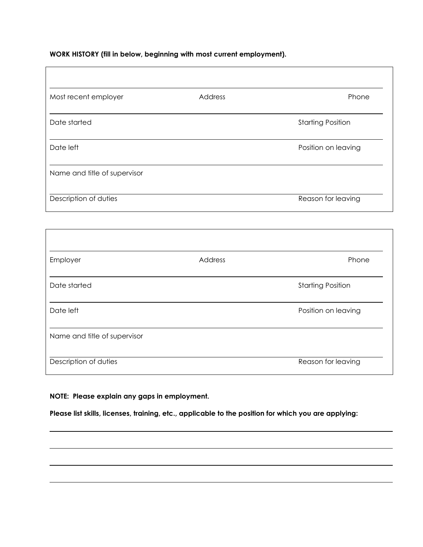### **WORK HISTORY (fill in below, beginning with most current employment).**

| Most recent employer         | Address | Phone                    |
|------------------------------|---------|--------------------------|
| Date started                 |         | <b>Starting Position</b> |
| Date left                    |         | Position on leaving      |
| Name and title of supervisor |         |                          |
| Description of duties        |         | Reason for leaving       |
|                              |         |                          |
|                              |         |                          |
| Employer                     | Address | Phone                    |

| <b>EITIPIOYEI</b>            | AUUIUSS | LINIA.                   |
|------------------------------|---------|--------------------------|
| Date started                 |         | <b>Starting Position</b> |
| Date left                    |         | Position on leaving      |
| Name and title of supervisor |         |                          |
| Description of duties        |         | Reason for leaving       |

## **NOTE: Please explain any gaps in employment.**

**Please list skills, licenses, training, etc., applicable to the position for which you are applying:**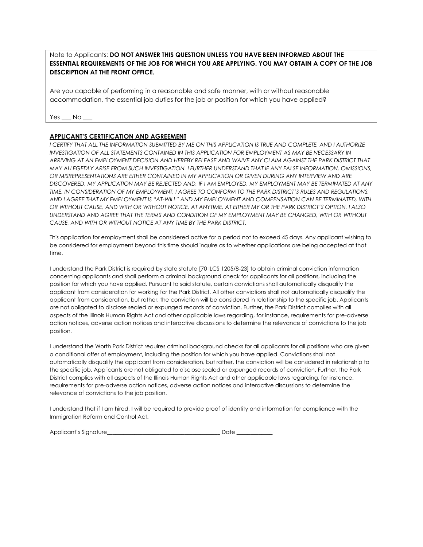Note to Applicants: **DO NOT ANSWER THIS QUESTION UNLESS YOU HAVE BEEN INFORMED ABOUT THE ESSENTIAL REQUIREMENTS OF THE JOB FOR WHICH YOU ARE APPLYING. YOU MAY OBTAIN A COPY OF THE JOB DESCRIPTION AT THE FRONT OFFICE.** 

Are you capable of performing in a reasonable and safe manner, with or without reasonable accommodation, the essential job duties for the job or position for which you have applied?

Yes No

#### **APPLICANT'S CERTIFICATION AND AGREEMENT**

*I CERTIFY THAT ALL THE INFORMATION SUBMITTED BY ME ON THIS APPLICATION IS TRUE AND COMPLETE, AND I AUTHORIZE INVESTIGATION OF ALL STATEMENTS CONTAINED IN THIS APPLICATION FOR EMPLOYMENT AS MAY BE NECESSARY IN ARRIVING AT AN EMPLOYMENT DECISION AND HEREBY RELEASE AND WAIVE ANY CLAIM AGAINST THE PARK DISTRICT THAT MAY ALLEGEDLY ARISE FROM SUCH INVESTIGATION. I FURTHER UNDERSTAND THAT IF ANY FALSE INFORMATION, OMISSIONS, OR MISREPRESENTATIONS ARE EITHER CONTAINED IN MY APPLICATION OR GIVEN DURING ANY INTERVIEW AND ARE DISCOVERED, MY APPLICATION MAY BE REJECTED AND, IF I AM EMPLOYED, MY EMPLOYMENT MAY BE TERMINATED AT ANY TIME. IN CONSIDERATION OF MY EMPLOYMENT, I AGREE TO CONFORM TO THE PARK DISTRICT'S RULES AND REGULATIONS, AND I AGREE THAT MY EMPLOYMENT IS "AT-WILL" AND MY EMPLOYMENT AND COMPENSATION CAN BE TERMINATED, WITH OR WITHOUT CAUSE, AND WITH OR WITHOUT NOTICE, AT ANYTIME, AT EITHER MY OR THE PARK DISTRICT'S OPTION. I ALSO UNDERSTAND AND AGREE THAT THE TERMS AND CONDITION OF MY EMPLOYMENT MAY BE CHANGED, WITH OR WITHOUT CAUSE, AND WITH OR WITHOUT NOTICE AT ANY TIME BY THE PARK DISTRICT.*

This application for employment shall be considered active for a period not to exceed 45 days. Any applicant wishing to be considered for employment beyond this time should inquire as to whether applications are being accepted at that time.

I understand the Park District is required by state statute [70 ILCS 1205/8-23] to obtain criminal conviction information concerning applicants and shall perform a criminal background check for applicants for all positions, including the position for which you have applied. Pursuant to said statute, certain convictions shall automatically disqualify the applicant from consideration for working for the Park District. All other convictions shall not automatically disqualify the applicant from consideration, but rather, the conviction will be considered in relationship to the specific job. Applicants are not obligated to disclose sealed or expunged records of conviction. Further, the Park District complies with all aspects of the Illinois Human Rights Act and other applicable laws regarding, for instance, requirements for pre-adverse action notices, adverse action notices and interactive discussions to determine the relevance of convictions to the job position.

I understand the Worth Park District requires criminal background checks for all applicants for all positions who are given a conditional offer of employment, including the position for which you have applied. Convictions shall not automatically disqualify the applicant from consideration, but rather, the conviction will be considered in relationship to the specific job. Applicants are not obligated to disclose sealed or expunged records of conviction. Further, the Park District complies with all aspects of the Illinois Human Rights Act and other applicable laws regarding, for instance, requirements for pre-adverse action notices, adverse action notices and interactive discussions to determine the relevance of convictions to the job position.

I understand that if I am hired, I will be required to provide proof of identity and information for compliance with the Immigration Reform and Control Act.

| Applicant's Signature |  |
|-----------------------|--|
|-----------------------|--|